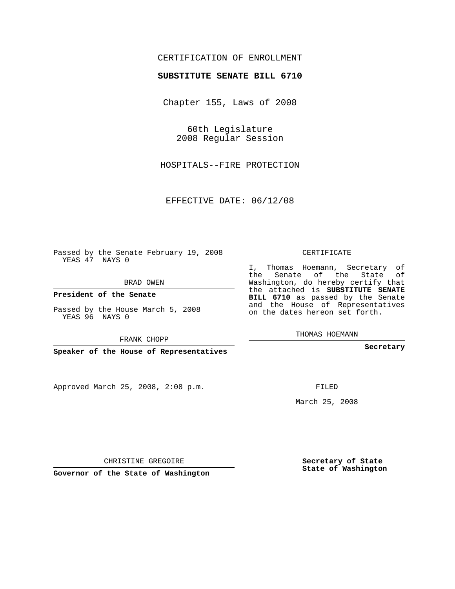## CERTIFICATION OF ENROLLMENT

## **SUBSTITUTE SENATE BILL 6710**

Chapter 155, Laws of 2008

60th Legislature 2008 Regular Session

HOSPITALS--FIRE PROTECTION

EFFECTIVE DATE: 06/12/08

Passed by the Senate February 19, 2008 YEAS 47 NAYS 0

BRAD OWEN

**President of the Senate**

Passed by the House March 5, 2008 YEAS 96 NAYS 0

FRANK CHOPP

**Speaker of the House of Representatives**

Approved March 25, 2008, 2:08 p.m.

CERTIFICATE

I, Thomas Hoemann, Secretary of the Senate of the State of Washington, do hereby certify that the attached is **SUBSTITUTE SENATE BILL 6710** as passed by the Senate and the House of Representatives on the dates hereon set forth.

THOMAS HOEMANN

**Secretary**

FILED

March 25, 2008

**Secretary of State State of Washington**

CHRISTINE GREGOIRE

**Governor of the State of Washington**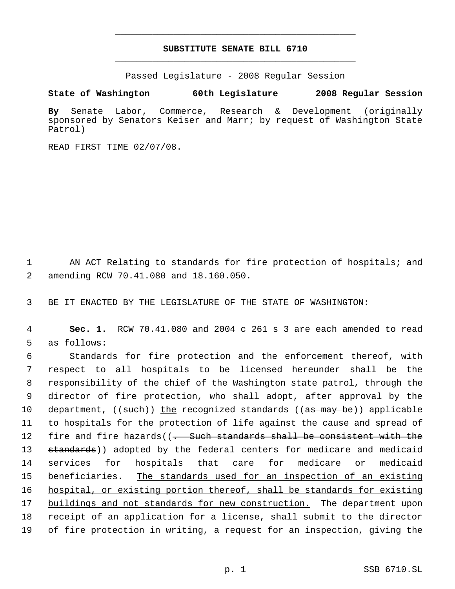## **SUBSTITUTE SENATE BILL 6710** \_\_\_\_\_\_\_\_\_\_\_\_\_\_\_\_\_\_\_\_\_\_\_\_\_\_\_\_\_\_\_\_\_\_\_\_\_\_\_\_\_\_\_\_\_

\_\_\_\_\_\_\_\_\_\_\_\_\_\_\_\_\_\_\_\_\_\_\_\_\_\_\_\_\_\_\_\_\_\_\_\_\_\_\_\_\_\_\_\_\_

Passed Legislature - 2008 Regular Session

**State of Washington 60th Legislature 2008 Regular Session**

**By** Senate Labor, Commerce, Research & Development (originally sponsored by Senators Keiser and Marr; by request of Washington State Patrol)

READ FIRST TIME 02/07/08.

1 AN ACT Relating to standards for fire protection of hospitals; and 2 amending RCW 70.41.080 and 18.160.050.

3 BE IT ENACTED BY THE LEGISLATURE OF THE STATE OF WASHINGTON:

 4 **Sec. 1.** RCW 70.41.080 and 2004 c 261 s 3 are each amended to read 5 as follows:

 Standards for fire protection and the enforcement thereof, with respect to all hospitals to be licensed hereunder shall be the responsibility of the chief of the Washington state patrol, through the director of fire protection, who shall adopt, after approval by the 10 department, ((such)) the recognized standards ((as may be)) applicable to hospitals for the protection of life against the cause and spread of 12 fire and fire hazards((<del>. Such standards shall be consistent with the</del> 13 standards)) adopted by the federal centers for medicare and medicaid services for hospitals that care for medicare or medicaid beneficiaries. The standards used for an inspection of an existing hospital, or existing portion thereof, shall be standards for existing buildings and not standards for new construction. The department upon receipt of an application for a license, shall submit to the director of fire protection in writing, a request for an inspection, giving the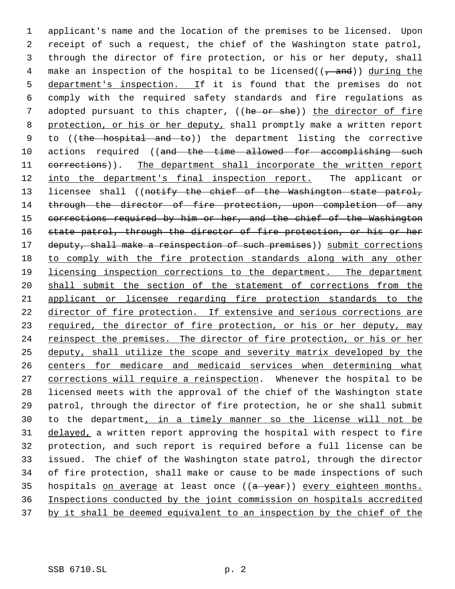1 applicant's name and the location of the premises to be licensed. Upon 2 receipt of such a request, the chief of the Washington state patrol, 3 through the director of fire protection, or his or her deputy, shall 4 make an inspection of the hospital to be licensed( $(-$ and)) during the 5 department's inspection. If it is found that the premises do not 6 comply with the required safety standards and fire regulations as 7 adopted pursuant to this chapter, ((he or she)) the director of fire 8 protection, or his or her deputy, shall promptly make a written report 9 to ((the hospital and to)) the department listing the corrective 10 actions required ((and the time allowed for accomplishing such 11 corrections)). The department shall incorporate the written report 12 into the department's final inspection report. The applicant or 13 licensee shall ((notify the chief of the Washington state patrol, 14 through the director of fire protection, upon completion of any 15 corrections required by him or her, and the chief of the Washington 16 state patrol, through the director of fire protection, or his or her 17 deputy, shall make a reinspection of such premises)) submit corrections 18 to comply with the fire protection standards along with any other 19 licensing inspection corrections to the department. The department 20 shall submit the section of the statement of corrections from the 21 applicant or licensee regarding fire protection standards to the 22 director of fire protection. If extensive and serious corrections are 23 required, the director of fire protection, or his or her deputy, may 24 reinspect the premises. The director of fire protection, or his or her 25 deputy, shall utilize the scope and severity matrix developed by the 26 centers for medicare and medicaid services when determining what 27 corrections will require a reinspection. Whenever the hospital to be 28 licensed meets with the approval of the chief of the Washington state 29 patrol, through the director of fire protection, he or she shall submit 30 to the department, in a timely manner so the license will not be 31 delayed, a written report approving the hospital with respect to fire 32 protection, and such report is required before a full license can be 33 issued. The chief of the Washington state patrol, through the director 34 of fire protection, shall make or cause to be made inspections of such 35 hospitals on average at least once ((a year)) every eighteen months. 36 Inspections conducted by the joint commission on hospitals accredited 37 by it shall be deemed equivalent to an inspection by the chief of the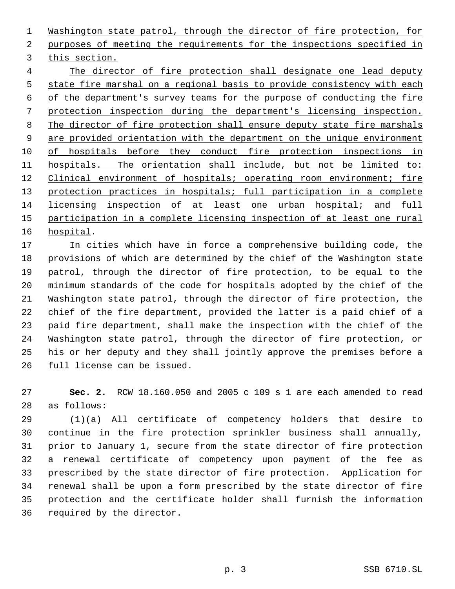Washington state patrol, through the director of fire protection, for purposes of meeting the requirements for the inspections specified in this section.

 The director of fire protection shall designate one lead deputy state fire marshal on a regional basis to provide consistency with each of the department's survey teams for the purpose of conducting the fire protection inspection during the department's licensing inspection. The director of fire protection shall ensure deputy state fire marshals 9 are provided orientation with the department on the unique environment of hospitals before they conduct fire protection inspections in hospitals. The orientation shall include, but not be limited to: 12 Clinical environment of hospitals; operating room environment; fire protection practices in hospitals; full participation in a complete licensing inspection of at least one urban hospital; and full participation in a complete licensing inspection of at least one rural hospital.

 In cities which have in force a comprehensive building code, the provisions of which are determined by the chief of the Washington state patrol, through the director of fire protection, to be equal to the minimum standards of the code for hospitals adopted by the chief of the Washington state patrol, through the director of fire protection, the chief of the fire department, provided the latter is a paid chief of a paid fire department, shall make the inspection with the chief of the Washington state patrol, through the director of fire protection, or his or her deputy and they shall jointly approve the premises before a full license can be issued.

 **Sec. 2.** RCW 18.160.050 and 2005 c 109 s 1 are each amended to read as follows:

 (1)(a) All certificate of competency holders that desire to continue in the fire protection sprinkler business shall annually, prior to January 1, secure from the state director of fire protection a renewal certificate of competency upon payment of the fee as prescribed by the state director of fire protection. Application for renewal shall be upon a form prescribed by the state director of fire protection and the certificate holder shall furnish the information required by the director.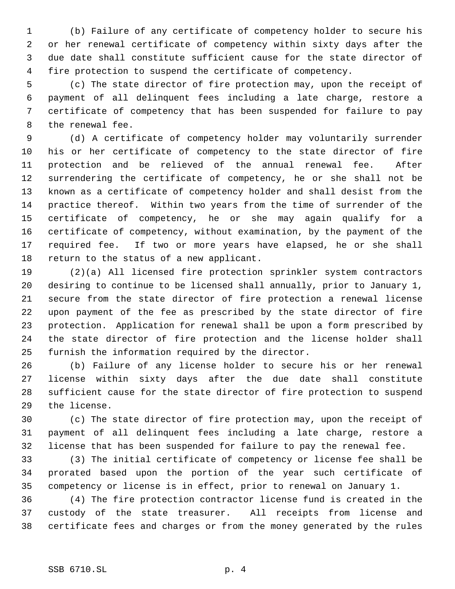(b) Failure of any certificate of competency holder to secure his or her renewal certificate of competency within sixty days after the due date shall constitute sufficient cause for the state director of fire protection to suspend the certificate of competency.

 (c) The state director of fire protection may, upon the receipt of payment of all delinquent fees including a late charge, restore a certificate of competency that has been suspended for failure to pay the renewal fee.

 (d) A certificate of competency holder may voluntarily surrender his or her certificate of competency to the state director of fire protection and be relieved of the annual renewal fee. After surrendering the certificate of competency, he or she shall not be known as a certificate of competency holder and shall desist from the practice thereof. Within two years from the time of surrender of the certificate of competency, he or she may again qualify for a certificate of competency, without examination, by the payment of the required fee. If two or more years have elapsed, he or she shall return to the status of a new applicant.

 (2)(a) All licensed fire protection sprinkler system contractors desiring to continue to be licensed shall annually, prior to January 1, secure from the state director of fire protection a renewal license upon payment of the fee as prescribed by the state director of fire protection. Application for renewal shall be upon a form prescribed by the state director of fire protection and the license holder shall furnish the information required by the director.

 (b) Failure of any license holder to secure his or her renewal license within sixty days after the due date shall constitute sufficient cause for the state director of fire protection to suspend the license.

 (c) The state director of fire protection may, upon the receipt of payment of all delinquent fees including a late charge, restore a license that has been suspended for failure to pay the renewal fee.

 (3) The initial certificate of competency or license fee shall be prorated based upon the portion of the year such certificate of competency or license is in effect, prior to renewal on January 1.

 (4) The fire protection contractor license fund is created in the custody of the state treasurer. All receipts from license and certificate fees and charges or from the money generated by the rules